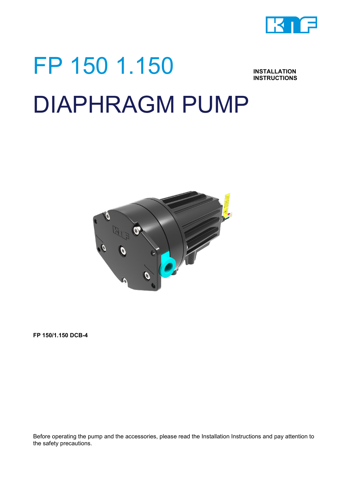

# FP 150 1.150 **INSTRUCTIONS** DIAPHRAGM PUMP



**FP 150/1.150 DCB-4**

Before operating the pump and the accessories, please read the Installation Instructions and pay attention to the safety precautions.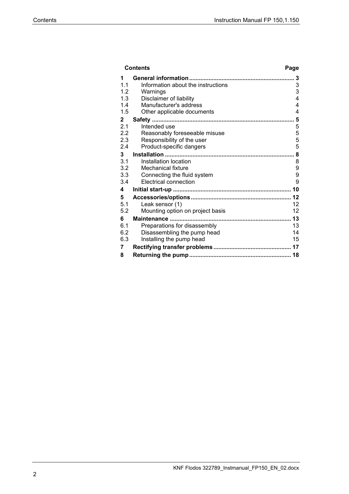| Contents |              |                                                             | Page           |
|----------|--------------|-------------------------------------------------------------|----------------|
|          | 1            |                                                             | 3              |
|          | 1.1          | Information about the instructions                          | 3              |
|          | 1.2          | Warnings                                                    | 3              |
|          | 1.3          | Disclaimer of liability                                     | 4              |
|          | 1.4          | Manufacturer's address                                      | 4              |
|          | 1.5          | Other applicable documents                                  | $\overline{4}$ |
|          | $\mathbf{2}$ |                                                             | 5              |
|          | 2.1          | Intended use                                                | 5              |
|          | 2.2          | Reasonably foreseeable misuse                               | 5              |
|          | 2.3          | Responsibility of the user                                  | 5              |
|          | 2.4          | Product-specific dangers                                    | 5              |
|          | 3            |                                                             | 8              |
|          | 3.1          | Installation location                                       | 8              |
|          | 3.2          | Mechanical fixture                                          | 9<br>9         |
|          | 3.3<br>3.4   | Connecting the fluid system<br><b>Electrical connection</b> | 9              |
|          |              |                                                             | 10             |
|          | 4            |                                                             |                |
|          | 5            |                                                             | 12             |
|          | 5.1          | Leak sensor (1)                                             | 12             |
|          | 5.2          | Mounting option on project basis                            | 12             |
|          | 6            |                                                             | 13             |
|          | 6.1<br>6.2   | Preparations for disassembly                                | 13<br>14       |
|          | 6.3          | Disassembling the pump head<br>Installing the pump head     | 15             |
|          |              |                                                             |                |
|          | 7            |                                                             |                |
|          | 8            |                                                             |                |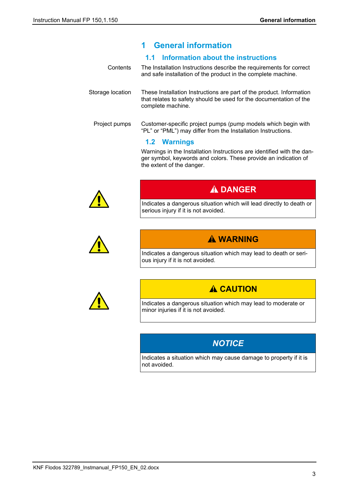# <span id="page-2-0"></span>**1 General information**

#### <span id="page-2-1"></span>**1.1 Information about the instructions**

- The Installation Instructions describe the requirements for correct and safe installation of the product in the complete machine. **Contents**
- These Installation Instructions are part of the product. Information that relates to safety should be used for the documentation of the complete machine. Storage location

Customer-specific project pumps (pump models which begin with "PL" or "PML") may differ from the Installation Instructions. Project pumps

#### <span id="page-2-2"></span>**1.2 Warnings**

Warnings in the Installation Instructions are identified with the danger symbol, keywords and colors. These provide an indication of the extent of the danger.



# **A DANGER**

Indicates a dangerous situation which will lead directly to death or serious injury if it is not avoided.



# **WARNING**

Indicates a dangerous situation which may lead to death or serious injury if it is not avoided.



# **A CAUTION**

Indicates a dangerous situation which may lead to moderate or minor injuries if it is not avoided.

# *NOTICE*

Indicates a situation which may cause damage to property if it is not avoided.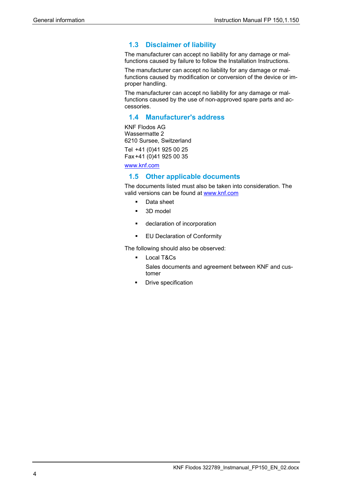# <span id="page-3-0"></span>**1.3 Disclaimer of liability**

The manufacturer can accept no liability for any damage or malfunctions caused by failure to follow the Installation Instructions.

The manufacturer can accept no liability for any damage or malfunctions caused by modification or conversion of the device or improper handling.

The manufacturer can accept no liability for any damage or malfunctions caused by the use of non-approved spare parts and accessories.

# <span id="page-3-1"></span>**1.4 Manufacturer's address**

KNF Flodos AG Wassermatte 2 6210 Sursee, Switzerland

Tel +41 (0)41 925 00 25 Fax+41 (0)41 925 00 35

[www.knf.com](http://www.knf.com/)

#### <span id="page-3-2"></span>**1.5 Other applicable documents**

The documents listed must also be taken into consideration. The valid versions can be found at [www.knf.com](http://www.knf.com/downloads)

- **Data sheet**
- 3D model
- declaration of incorporation
- **EU Declaration of Conformity**

The following should also be observed:

- **Local T&Cs** Sales documents and agreement between KNF and customer
- **•** Drive specification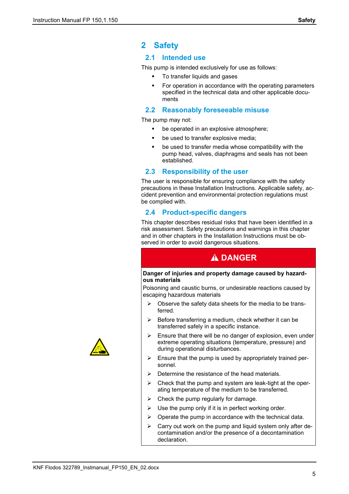# <span id="page-4-0"></span>**2 Safety**

#### <span id="page-4-1"></span>**2.1 Intended use**

This pump is intended exclusively for use as follows:

- To transfer liquids and gases
- For operation in accordance with the operating parameters specified in the technical data and other applicable documents

#### <span id="page-4-2"></span>**2.2 Reasonably foreseeable misuse**

The pump may not:

- **•** be operated in an explosive atmosphere;
- be used to transfer explosive media;
- be used to transfer media whose compatibility with the pump head, valves, diaphragms and seals has not been established.

#### <span id="page-4-3"></span>**2.3 Responsibility of the user**

The user is responsible for ensuring compliance with the safety precautions in these Installation Instructions. Applicable safety, accident prevention and environmental protection regulations must be complied with.

#### <span id="page-4-4"></span>**2.4 Product-specific dangers**

This chapter describes residual risks that have been identified in a risk assessment. Safety precautions and warnings in this chapter and in other chapters in the Installation Instructions must be observed in order to avoid dangerous situations.

# **A DANGER**

#### **Danger of injuries and property damage caused by hazardous materials**

Poisoning and caustic burns, or undesirable reactions caused by escaping hazardous materials

- $\triangleright$  Observe the safety data sheets for the media to be transferred.
- $\triangleright$  Before transferring a medium, check whether it can be transferred safely in a specific instance.
- $\triangleright$  Ensure that there will be no danger of explosion, even under extreme operating situations (temperature, pressure) and during operational disturbances.
- $\triangleright$  Ensure that the pump is used by appropriately trained personnel.
- $\triangleright$  Determine the resistance of the head materials.
- $\triangleright$  Check that the pump and system are leak-tight at the operating temperature of the medium to be transferred.
- $\triangleright$  Check the pump regularly for damage.
- $\triangleright$  Use the pump only if it is in perfect working order.
- $\triangleright$  Operate the pump in accordance with the technical data.
- $\triangleright$  Carry out work on the pump and liquid system only after decontamination and/or the presence of a decontamination declaration.

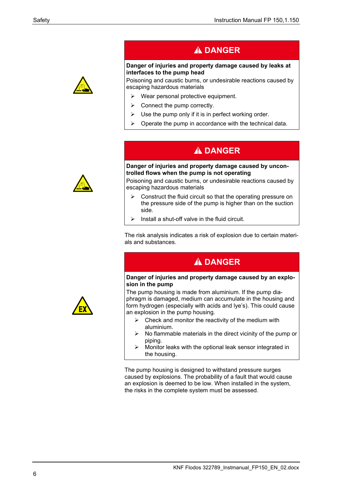# **A DANGER**

#### **Danger of injuries and property damage caused by leaks at interfaces to the pump head**

Poisoning and caustic burns, or undesirable reactions caused by escaping hazardous materials

- $\triangleright$  Wear personal protective equipment.
- $\triangleright$  Connect the pump correctly.
- $\triangleright$  Use the pump only if it is in perfect working order.
- $\triangleright$  Operate the pump in accordance with the technical data.

# **A DANGER**

#### **Danger of injuries and property damage caused by uncontrolled flows when the pump is not operating**

Poisoning and caustic burns, or undesirable reactions caused by escaping hazardous materials

- Construct the fluid circuit so that the operating pressure on the pressure side of the pump is higher than on the suction side.
- $\triangleright$  Install a shut-off valve in the fluid circuit.

The risk analysis indicates a risk of explosion due to certain materials and substances.

# **A DANGER**

#### **Danger of injuries and property damage caused by an explosion in the pump**

The pump housing is made from aluminium. If the pump diaphragm is damaged, medium can accumulate in the housing and form hydrogen (especially with acids and lye's). This could cause an explosion in the pump housing.

- $\triangleright$  Check and monitor the reactivity of the medium with aluminium.
- $\triangleright$  No flammable materials in the direct vicinity of the pump or piping.
- $\triangleright$  Monitor leaks with the optional leak sensor integrated in the housing.

The pump housing is designed to withstand pressure surges caused by explosions. The probability of a fault that would cause an explosion is deemed to be low. When installed in the system, the risks in the complete system must be assessed.

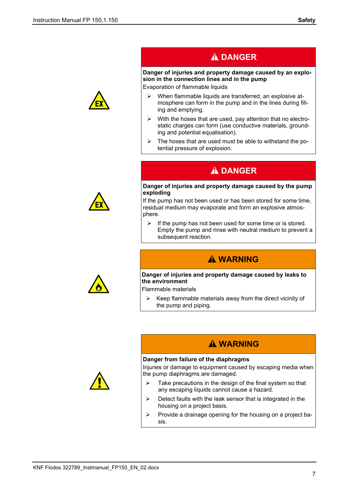

# **A DANGER**

#### **Danger of injuries and property damage caused by an explosion in the connection lines and in the pump**

Evaporation of flammable liquids

- $\triangleright$  When flammable liquids are transferred, an explosive atmosphere can form in the pump and in the lines during filling and emptying.
- $\triangleright$  With the hoses that are used, pay attention that no electrostatic charges can form (use conductive materials, grounding and potential equalisation).
- $\triangleright$  The hoses that are used must be able to withstand the potential pressure of explosion.

# **A DANGER**

#### **Danger of injuries and property damage caused by the pump exploding**

If the pump has not been used or has been stored for some time, residual medium may evaporate and form an explosive atmosphere.

 $\triangleright$  If the pump has not been used for some time or is stored. Empty the pump and rinse with neutral medium to prevent a subsequent reaction.

# **WARNING**

#### **Danger of injuries and property damage caused by leaks to the environment**

Flammable materials

 $\triangleright$  Keep flammable materials away from the direct vicinity of the pump and piping.

# **WARNING**

#### **Danger from failure of the diaphragms**

Injuries or damage to equipment caused by escaping media when the pump diaphragms are damaged.

- $\triangleright$  Take precautions in the design of the final system so that any escaping liquids cannot cause a hazard.
- $\triangleright$  Detect faults with the leak sensor that is integrated in the housing on a project basis.
- $\triangleright$  Provide a drainage opening for the housing on a project basis.



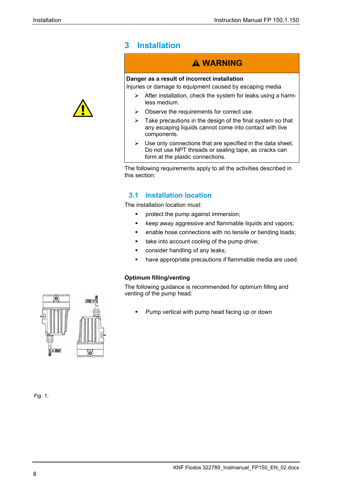

# <span id="page-7-0"></span>**3 Installation**

# **WARNING**

#### **Danger as a result of incorrect installation**

Injuries or damage to equipment caused by escaping media

- $\triangleright$  After installation, check the system for leaks using a harmless medium.
- $\triangleright$  Observe the requirements for correct use.
- $\triangleright$  Take precautions in the design of the final system so that any escaping liquids cannot come into contact with live components.
- $\triangleright$  Use only connections that are specified in the data sheet. Do not use NPT threads or sealing tape, as cracks can form at the plastic connections.

The following requirements apply to all the activities described in this section:

# <span id="page-7-1"></span>**3.1 Installation location**

The installation location must:

- **•** protect the pump against immersion;
- **EXECT** keep away aggressive and flammable liquids and vapors;
- enable hose connections with no tensile or bending loads;
- take into account cooling of the pump drive:
- **•** consider handling of any leaks;
- have appropriate precautions if flammable media are used.

#### **Optimum filling/venting**

The following guidance is recommended for optimum filling and venting of the pump head:

Pump vertical with pump head facing up or down



#### *Fig. 1:*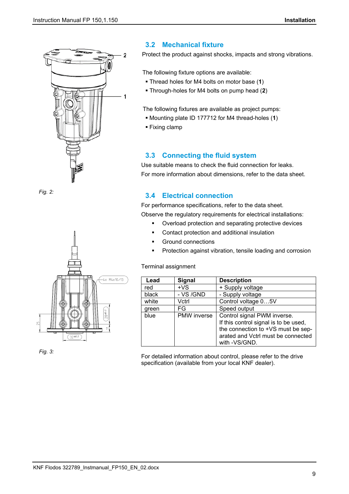

*Fig. 2:*



*Fig. 3:*

# <span id="page-8-0"></span>**3.2 Mechanical fixture**

Protect the product against shocks, impacts and strong vibrations.

The following fixture options are available:

- Thread holes for M4 bolts on motor base (**1**)
- Through-holes for M4 bolts on pump head (**2**)

The following fixtures are available as project pumps:

- Mounting plate ID 177712 for M4 thread-holes (**1**)
- **Fixing clamp**

#### <span id="page-8-1"></span>**3.3 Connecting the fluid system**

Use suitable means to check the fluid connection for leaks. For more information about dimensions, refer to the data sheet.

## <span id="page-8-2"></span>**3.4 Electrical connection**

For performance specifications, refer to the data sheet. Observe the regulatory requirements for electrical installations:

- Overload protection and separating protective devices
- Contact protection and additional insulation
- **Ground connections**
- **Protection against vibration, tensile loading and corrosion**

#### Terminal assignment

| Lead  | <b>Signal</b> | <b>Description</b>                    |
|-------|---------------|---------------------------------------|
| red   | $+VS$         | + Supply voltage                      |
| black | - VS /GND     | - Supply voltage                      |
| white | Vctrl         | Control voltage 05V                   |
| green | FG            | Speed output                          |
| blue  | PMW inverse   | Control signal PWM inverse.           |
|       |               | If this control signal is to be used, |
|       |               | the connection to +VS must be sep-    |
|       |               | arated and Vctrl must be connected    |
|       |               | with -VS/GND.                         |

For detailed information about control, please refer to the drive specification (available from your local KNF dealer).

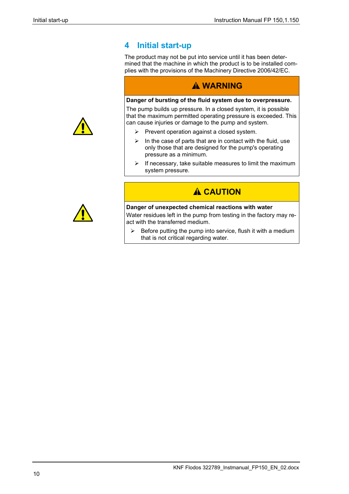# <span id="page-9-0"></span>**4 Initial start-up**

The product may not be put into service until it has been determined that the machine in which the product is to be installed complies with the provisions of the Machinery Directive 2006/42/EC.

# **WARNING**

#### **Danger of bursting of the fluid system due to overpressure.**

The pump builds up pressure. In a closed system, it is possible that the maximum permitted operating pressure is exceeded. This can cause injuries or damage to the pump and system.

- $\triangleright$  Prevent operation against a closed system.
- $\triangleright$  In the case of parts that are in contact with the fluid, use only those that are designed for the pump's operating pressure as a minimum.
- $\triangleright$  If necessary, take suitable measures to limit the maximum system pressure.

# **A CAUTION**

#### **Danger of unexpected chemical reactions with water**

Water residues left in the pump from testing in the factory may react with the transferred medium.

 $\triangleright$  Before putting the pump into service, flush it with a medium that is not critical regarding water.



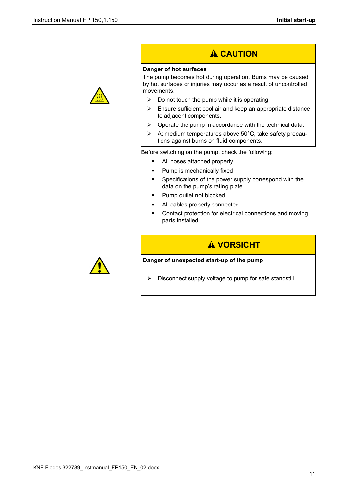

# **A CAUTION**

#### **Danger of hot surfaces**

The pump becomes hot during operation. Burns may be caused by hot surfaces or injuries may occur as a result of uncontrolled movements.

- $\triangleright$  Do not touch the pump while it is operating.
- $\triangleright$  Ensure sufficient cool air and keep an appropriate distance to adjacent components.
- $\triangleright$  Operate the pump in accordance with the technical data.
- $\triangleright$  At medium temperatures above 50°C, take safety precautions against burns on fluid components.

Before switching on the pump, check the following:

- All hoses attached properly
- Pump is mechanically fixed
- Specifications of the power supply correspond with the data on the pump's rating plate
- **Pump outlet not blocked**
- All cables properly connected
- Contact protection for electrical connections and moving parts installed



# **A VORSICHT**

#### **Danger of unexpected start-up of the pump**

 $\triangleright$  Disconnect supply voltage to pump for safe standstill.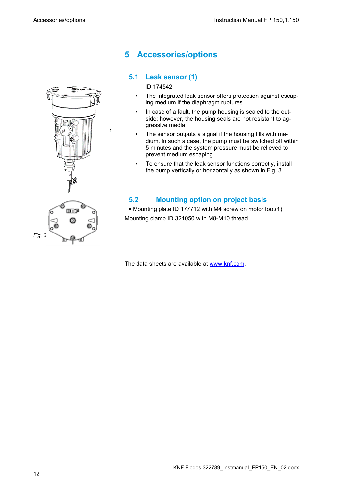

# <span id="page-11-0"></span>**5 Accessories/options**

# <span id="page-11-1"></span>**5.1 Leak sensor (1)**

ID 174542

- The integrated leak sensor offers protection against escaping medium if the diaphragm ruptures.
- In case of a fault, the pump housing is sealed to the outside; however, the housing seals are not resistant to aggressive media.
- The sensor outputs a signal if the housing fills with medium. In such a case, the pump must be switched off within 5 minutes and the system pressure must be relieved to prevent medium escaping.
- To ensure that the leak sensor functions correctly, install the pump vertically or horizontally as shown in Fig. 3.

# <span id="page-11-2"></span>**5.2 Mounting option on project basis**

 Mounting plate ID 177712 with M4 screw on motor foot(**1**) Mounting clamp ID 321050 with M8-M10 thread

The data sheets are available at [www.knf.com.](http://www.knf.com/)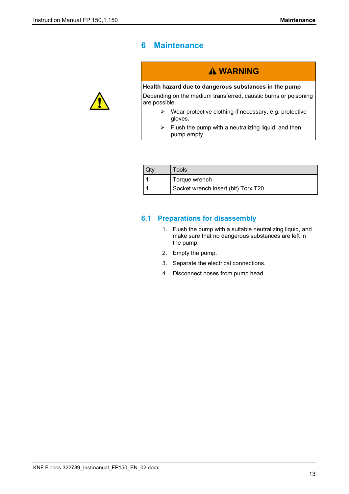# <span id="page-12-0"></span>**6 Maintenance**



# **A WARNING**

#### **Health hazard due to dangerous substances in the pump**

Depending on the medium transferred, caustic burns or poisoning are possible.

- Wear protective clothing if necessary, e.g. protective gloves.
- $\triangleright$  Flush the pump with a neutralizing liquid, and then pump empty.

| Tools                               |  |  |
|-------------------------------------|--|--|
| Torque wrench                       |  |  |
| Socket wrench insert (bit) Torx T20 |  |  |

#### <span id="page-12-1"></span>**6.1 Preparations for disassembly**

- 1. Flush the pump with a suitable neutralizing liquid, and make sure that no dangerous substances are left in the pump.
- 2. Empty the pump.
- 3. Separate the electrical connections.
- 4. Disconnect hoses from pump head.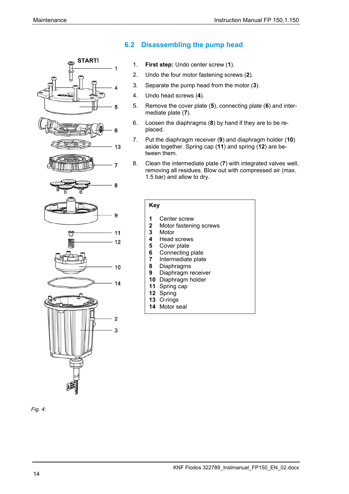

#### <span id="page-13-0"></span>**6.2 Disassembling the pump head**

- 1. **First step:** Undo center screw (**1**).
- 2. Undo the four motor fastening screws (**2**).
- 3. Separate the pump head from the motor (**3**).
- 4. Undo head screws (**4**).
- 5. Remove the cover plate (**5**), connecting plate (**6**) and intermediate plate (**7**).
- 6. Loosen the diaphragms (**8**) by hand if they are to be replaced.
- 7. Put the diaphragm receiver (**9**) and diaphragm holder (**10**) aside together. Spring cap (**11**) and spring (**12**) are between them.
- 8. Clean the intermediate plate (**7**) with integrated valves well, removing all residues. Blow out with compressed air (max. 1.5 bar) and allow to dry.

#### **Key**

- **1** Center screw
- **2** Motor fastening screws
- **3** Motor
- **4** Head screws
- **5** Cover plate<br>**6** Connecting
- **6** Connecting plate<br>**7** Intermediate plate
- **7** Intermediate plate
- **8** Diaphragms
- **9** Diaphragm receiver
- **10** Diaphragm holder
- **11** Spring cap
- **12** Spring
- **13** O-rings
- **14** Motor seal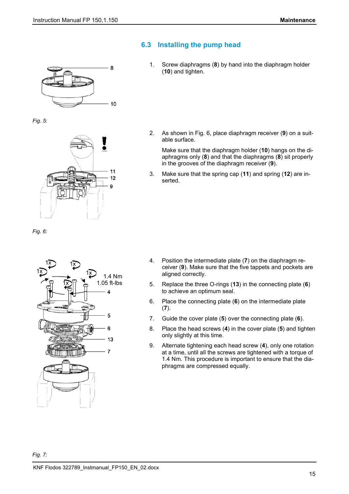8

 $10$ 

 $11$  $12$ Q

## <span id="page-14-0"></span>**6.3 Installing the pump head**

1. Screw diaphragms (**8**) by hand into the diaphragm holder (**10**) and tighten.

2. As shown in Fig. 6, place diaphragm receiver (**9**) on a suitable surface.

Make sure that the diaphragm holder (**10**) hangs on the diaphragms only (**8**) and that the diaphragms (**8**) sit properly in the grooves of the diaphragm receiver (**9**).

3. Make sure that the spring cap (**11**) and spring (**12**) are inserted.

*Fig. 6:*

*Fig. 5:*



- 4. Position the intermediate plate (**7**) on the diaphragm receiver (**9**). Make sure that the five tappets and pockets are aligned correctly.
- 5. Replace the three O-rings (**13**) in the connecting plate (**6**) to achieve an optimum seal.
- 6. Place the connecting plate (**6**) on the intermediate plate (**7**).
- 7. Guide the cover plate (**5**) over the connecting plate (**6**).
- 8. Place the head screws (**4**) in the cover plate (**5**) and tighten only slightly at this time.
- 9. Alternate tightening each head screw (**4**), only one rotation at a time, until all the screws are tightened with a torque of 1.4 Nm. This procedure is important to ensure that the diaphragms are compressed equally.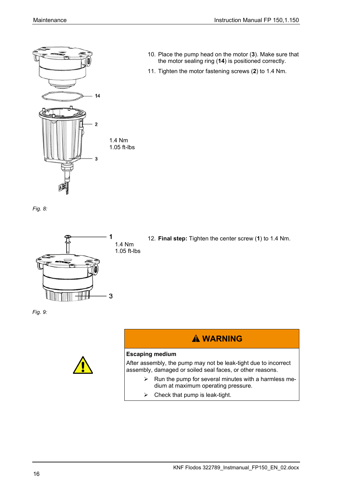

- 10. Place the pump head on the motor (**3**). Make sure that the motor sealing ring (**14**) is positioned correctly.
- 11. Tighten the motor fastening screws (**2**) to 1.4 Nm.

*Fig. 8:*



12. **Final step:** Tighten the center screw (**1**) to 1.4 Nm.

*Fig. 9:*



# **WARNING**

#### **Escaping medium**

After assembly, the pump may not be leak-tight due to incorrect assembly, damaged or soiled seal faces, or other reasons.

- $\triangleright$  Run the pump for several minutes with a harmless medium at maximum operating pressure.
- $\triangleright$  Check that pump is leak-tight.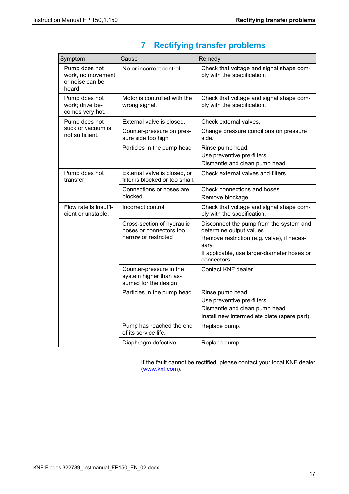| Symptom                                                          | Cause                                                                         | Remedy                                                                                                                                                                                   |
|------------------------------------------------------------------|-------------------------------------------------------------------------------|------------------------------------------------------------------------------------------------------------------------------------------------------------------------------------------|
| Pump does not<br>work, no movement,<br>or noise can be<br>heard. | No or incorrect control                                                       | Check that voltage and signal shape com-<br>ply with the specification.                                                                                                                  |
| Pump does not<br>work; drive be-<br>comes very hot.              | Motor is controlled with the<br>wrong signal.                                 | Check that voltage and signal shape com-<br>ply with the specification.                                                                                                                  |
| Pump does not                                                    | External valve is closed.                                                     | Check external valves.                                                                                                                                                                   |
| suck or vacuum is<br>not sufficient.                             | Counter-pressure on pres-<br>sure side too high                               | Change pressure conditions on pressure<br>side.                                                                                                                                          |
|                                                                  | Particles in the pump head                                                    | Rinse pump head.<br>Use preventive pre-filters.<br>Dismantle and clean pump head.                                                                                                        |
| Pump does not<br>transfer.                                       | External valve is closed, or<br>filter is blocked or too small.               | Check external valves and filters.                                                                                                                                                       |
|                                                                  | Connections or hoses are<br>blocked.                                          | Check connections and hoses.<br>Remove blockage.                                                                                                                                         |
| Flow rate is insuffi-<br>cient or unstable.                      | Incorrect control                                                             | Check that voltage and signal shape com-<br>ply with the specification.                                                                                                                  |
|                                                                  | Cross-section of hydraulic<br>hoses or connectors too<br>narrow or restricted | Disconnect the pump from the system and<br>determine output values.<br>Remove restriction (e.g. valve), if neces-<br>sary.<br>If applicable, use larger-diameter hoses or<br>connectors. |
|                                                                  | Counter-pressure in the<br>system higher than as-<br>sumed for the design     | Contact KNF dealer.                                                                                                                                                                      |
|                                                                  | Particles in the pump head                                                    | Rinse pump head.<br>Use preventive pre-filters.<br>Dismantle and clean pump head.<br>Install new intermediate plate (spare part).                                                        |
|                                                                  | Pump has reached the end<br>of its service life.                              | Replace pump.                                                                                                                                                                            |
|                                                                  | Diaphragm defective                                                           | Replace pump.                                                                                                                                                                            |

# <span id="page-16-0"></span>**7 Rectifying transfer problems**

If the fault cannot be rectified, please contact your local KNF dealer [\(www.knf.com\)](file://global/shares/13/FLODOS/21_PEP/10_PEP/E195_FMT/25_FuE/40_Implementierung/Produktdokumentation/www.knf.com).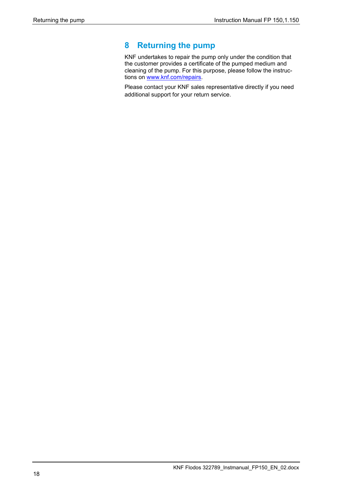# <span id="page-17-0"></span>**8 Returning the pump**

KNF undertakes to repair the pump only under the condition that the customer provides a certificate of the pumped medium and cleaning of the pump. For this purpose, please follow the instructions on [www.knf.com/repairs.](file://global/shares/13/flodos/22_PRD/10_OEM/NF_30/02_M/Betriebsanleitung/1_In_Bearbeitung/www.knf.com/repairs)

Please contact your KNF sales representative directly if you need additional support for your return service.